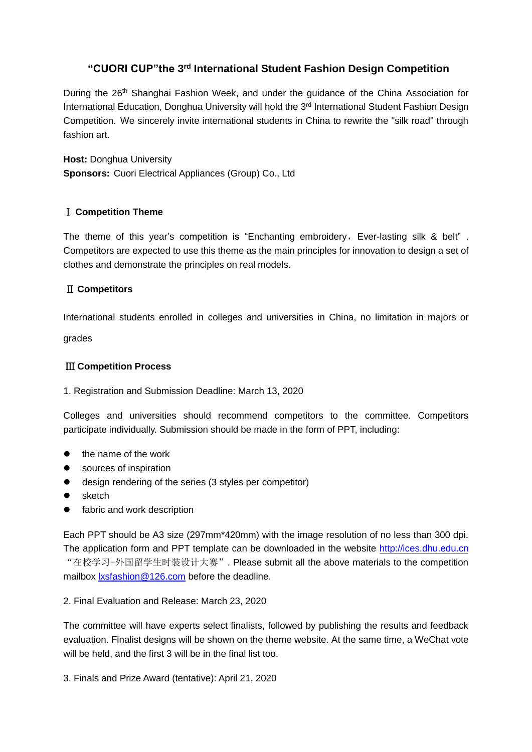# **"CUORI CUP"the 3 rd International Student Fashion Design Competition**

During the 26<sup>th</sup> Shanghai Fashion Week, and under the guidance of the China Association for International Education, Donghua University will hold the 3<sup>rd</sup> International Student Fashion Design Competition. We sincerely invite international students in China to rewrite the "silk road" through fashion art.

**Host:** Donghua University **Sponsors:** Cuori Electrical Appliances (Group) Co., Ltd

## Ⅰ **Competition Theme**

The theme of this year's competition is "Enchanting embroidery, Ever-lasting silk & belt". Competitors are expected to use this theme as the main principles for innovation to design a set of [clothes](http://dict.youdao.com/search?q=clothes&keyfrom=E2Ctranslation) and demonstrate the principles on real models.

## Ⅱ **Competitors**

International students enrolled in colleges and universities in China, no limitation in majors or

grades

## Ⅲ **Competition Process**

#### 1. Registration and Submission Deadline: March 13, 2020

Colleges and universities should recommend competitors to the committee. Competitors participate individually. Submission should be made in the form of PPT, including:

- the name of the work
- sources of inspiration
- [design](http://dict.youdao.com/search?q=design&keyfrom=E2Ctranslation) [rendering](http://dict.youdao.com/w/sketch/) of the series (3 styles per competitor)
- sketch
- **•** fabric and work description

Each PPT should be A3 size (297mm\*420mm) with the image resolution of no less than 300 dpi. The application form and PPT template can be downloaded in the website [http://ices.dhu.edu.cn](http://ices.dhu.edu.cn/) "在校学习-外国留学生时装设计大赛". Please submit all the above materials to the competition mailbox [lxsfashion@126.com](mailto:lxsfashion@126.com) before the deadline.

#### 2. Final Evaluation and Release: March 23, 2020

The committee will have experts select finalists, followed by publishing the results and feedback evaluation. Finalist designs will be shown on the theme website. At the same time, a WeChat vote will be held, and the first 3 will be in the final list too.

3. Finals and Prize Award (tentative): April 21, 2020